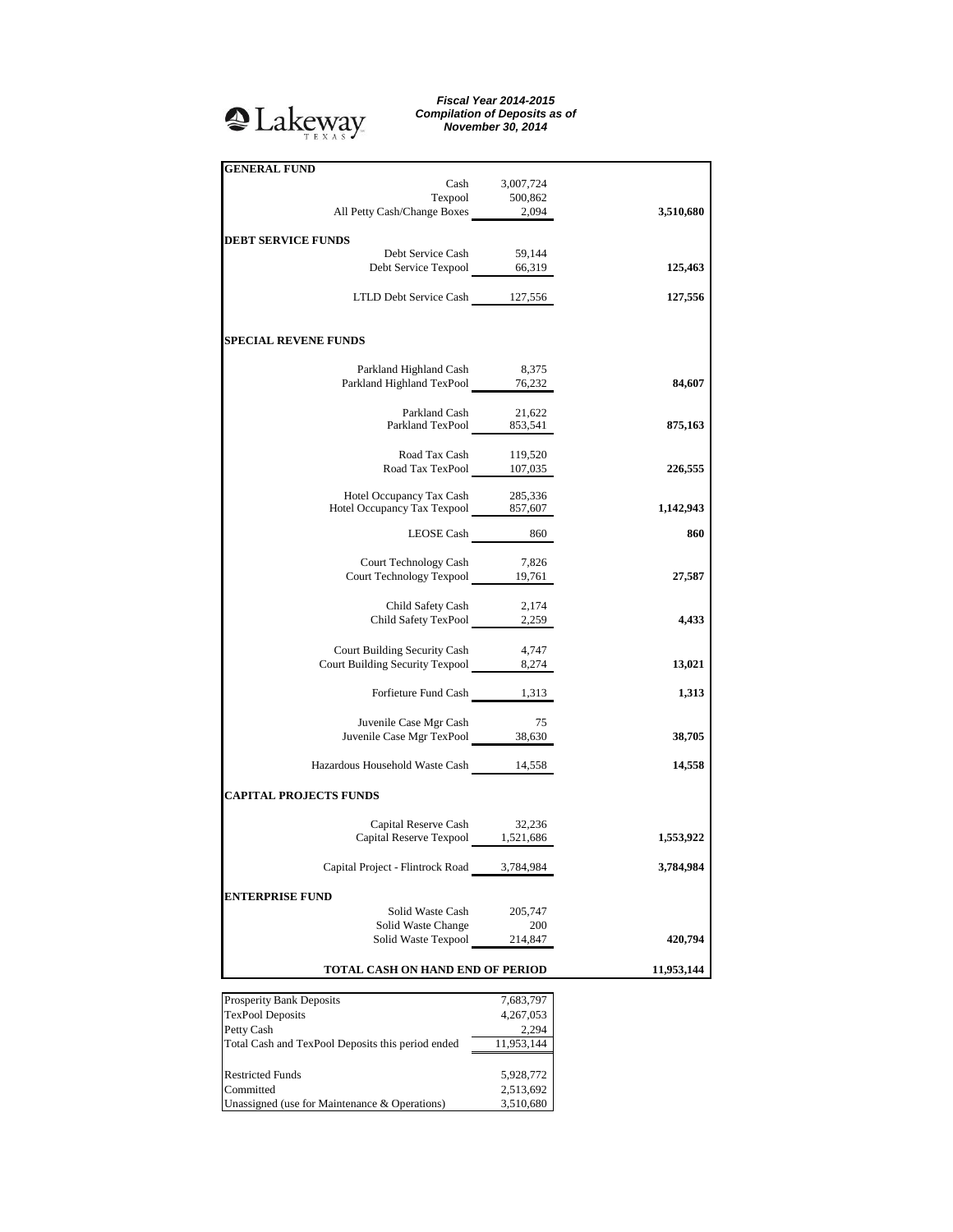

## *Fiscal Year 2014-2015 Compilation of Deposits as of November 30, 2014*

| <b>GENERAL FUND</b>                                                     | Cash 3,007,724                         |            |
|-------------------------------------------------------------------------|----------------------------------------|------------|
|                                                                         | ${\bf Tex pool} \qquad \qquad 500,862$ |            |
| All Petty Cash/Change Boxes 2,094                                       |                                        | 3,510,680  |
| <b>DEBT SERVICE FUNDS</b>                                               |                                        |            |
| Debt Service Cash 59,144                                                |                                        |            |
| Debt Service Texpool 66,319                                             |                                        | 125,463    |
| LTLD Debt Service Cash 127,556                                          |                                        | 127,556    |
| <b>SPECIAL REVENE FUNDS</b>                                             |                                        |            |
| Parkland Highland Cash                                                  | 8,375                                  |            |
| Parkland Highland TexPool 76,232                                        |                                        | 84,607     |
|                                                                         |                                        |            |
| Parkland Cash 21,622<br>Parkland TexPool 853,541                        |                                        | 875,163    |
| Road Tax Cash                                                           | 119,520                                |            |
| Road Tax TexPool 107,035                                                |                                        | 226,555    |
|                                                                         |                                        |            |
| Hotel Occupancy Tax Cash 285,336<br>Hotel Occupancy Tax Texpool 857,607 |                                        | 1,142,943  |
| LEOSE Cash 860                                                          |                                        | 860        |
| Court Technology Cash 7,826                                             |                                        |            |
| Court Technology Texpool 19,761                                         |                                        | 27,587     |
|                                                                         |                                        |            |
| Child Safety Cash 2,174<br>Child Safety TexPool 2,259                   |                                        | 4,433      |
| Court Building Security Cash                                            | 4,747                                  |            |
| Court Building Security Texpool 8,274                                   |                                        | 13,021     |
| Forfieture Fund Cash 1,313                                              |                                        | 1,313      |
|                                                                         |                                        |            |
| Juvenile Case Mgr Cash<br>Juvenile Case Mgr TexPool 38,630              | 75                                     |            |
|                                                                         |                                        | 38,705     |
| Hazardous Household Waste Cash 14,558                                   |                                        | 14,558     |
| <b>CAPITAL PROJECTS FUNDS</b>                                           |                                        |            |
| Capital Reserve Cash 32,236                                             |                                        |            |
| Capital Reserve Texpool 1,521,686                                       |                                        | 1,553,922  |
| Capital Project - Flintrock Road                                        | 3,784,984                              | 3,784,984  |
| <b>ENTERPRISE FUND</b>                                                  |                                        |            |
| Solid Waste Cash                                                        | 205,747                                |            |
| Solid Waste Change<br>Solid Waste Texpool                               | 200<br>214,847                         | 420,794    |
|                                                                         |                                        |            |
| TOTAL CASH ON HAND END OF PERIOD                                        |                                        | 11,953,144 |
| Prosperity Bank Deposits                                                | 7,683,797                              |            |
| <b>TexPool Deposits</b>                                                 | 4,267,053                              |            |
| Petty Cash                                                              | 2,294                                  |            |
| Total Cash and TexPool Deposits this period ended                       | 11,953,144                             |            |
| <b>Restricted Funds</b>                                                 | 5,928,772                              |            |
| Committed                                                               | 2,513,692                              |            |
| Unassigned (use for Maintenance & Operations)                           | 3,510,680                              |            |